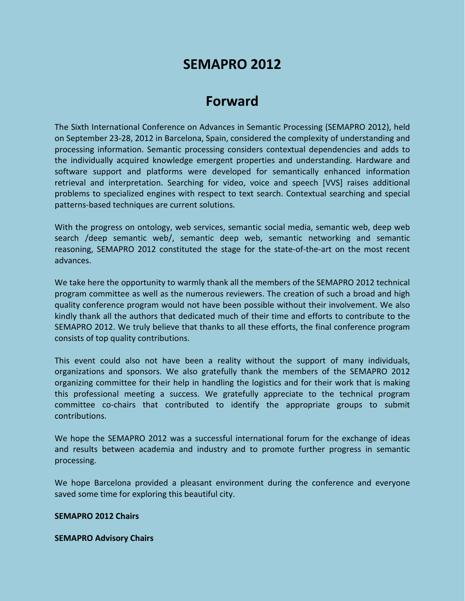# **SEMAPRO 2012**

# **Forward**

The Sixth International Conference on Advances in Semantic Processing (SEMAPRO 2012), held on September 23-28, 2012 in Barcelona, Spain, considered the complexity of understanding and processing information. Semantic processing considers contextual dependencies and adds to the individually acquired knowledge emergent properties and understanding. Hardware and software support and platforms were developed for semantically enhanced information retrieval and interpretation. Searching for video, voice and speech [VVS] raises additional problems to specialized engines with respect to text search. Contextual searching and special patterns-based techniques are current solutions.

With the progress on ontology, web services, semantic social media, semantic web, deep web search /deep semantic web/, semantic deep web, semantic networking and semantic reasoning, SEMAPRO 2012 constituted the stage for the state-of-the-art on the most recent advances.

We take here the opportunity to warmly thank all the members of the SEMAPRO 2012 technical program committee as well as the numerous reviewers. The creation of such a broad and high quality conference program would not have been possible without their involvement. We also kindly thank all the authors that dedicated much of their time and efforts to contribute to the SEMAPRO 2012. We truly believe that thanks to all these efforts, the final conference program consists of top quality contributions.

This event could also not have been a reality without the support of many individuals, organizations and sponsors. We also gratefully thank the members of the SEMAPRO 2012 organizing committee for their help in handling the logistics and for their work that is making this professional meeting a success. We gratefully appreciate to the technical program committee co-chairs that contributed to identify the appropriate groups to submit contributions.

We hope the SEMAPRO 2012 was a successful international forum for the exchange of ideas and results between academia and industry and to promote further progress in semantic processing.

We hope Barcelona provided a pleasant environment during the conference and everyone saved some time for exploring this beautiful city.

#### **SEMAPRO 2012 Chairs**

#### **SEMAPRO Advisory Chairs**